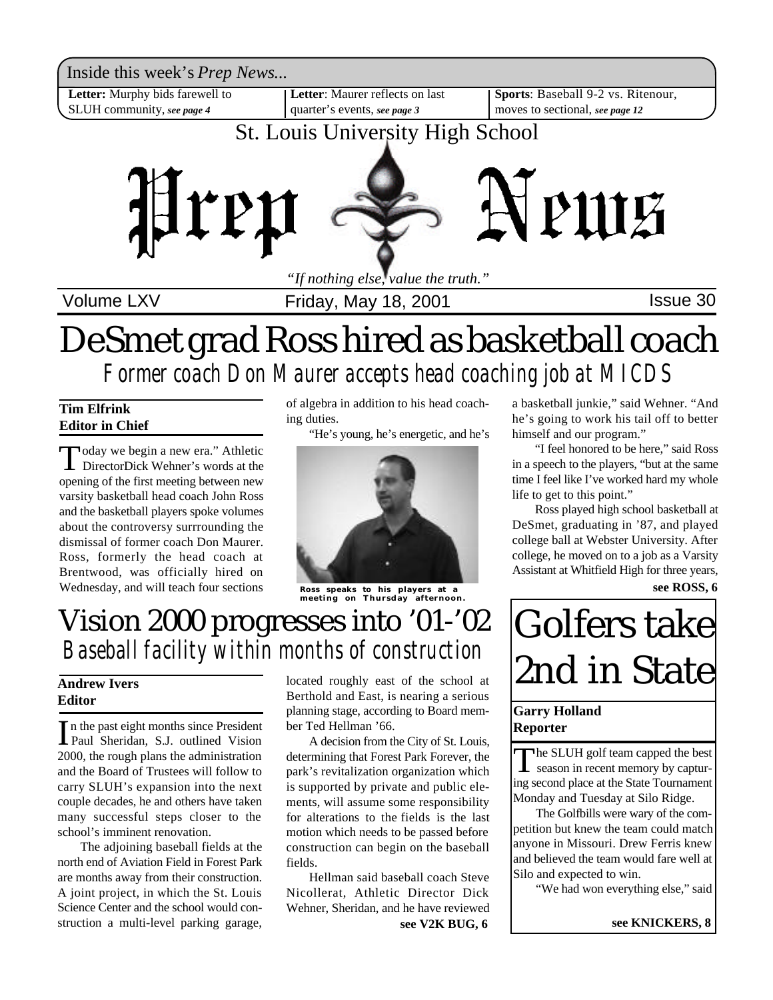

Volume LXV **Interpretent Controller Friday, May 18, 2001 ISSue 30** 

## *Former coach Don Maurer accepts head coaching job at MICDS* DeSmet grad Ross hired as basketball coach

#### **Tim Elfrink Editor in Chief**

Today we begin a new era." Athletic<br>DirectorDick Wehner's words at the DirectorDick Wehner's words at the opening of the first meeting between new varsity basketball head coach John Ross and the basketball players spoke volumes about the controversy surrrounding the dismissal of former coach Don Maurer. Ross, formerly the head coach at Brentwood, was officially hired on Wednesday, and will teach four sections of algebra in addition to his head coaching duties.

"He's young, he's energetic, and he's



**Ross speaks to his players at a meeting on Thursday afternoon.**

## Vision 2000 progresses into '01-'02 *Baseball facility within months of construction*

### **Andrew Ivers Editor**

In the past eight months since President<br>Paul Sheridan, S.J. outlined Vision Paul Sheridan, S.J. outlined Vision 2000, the rough plans the administration and the Board of Trustees will follow to carry SLUH's expansion into the next couple decades, he and others have taken many successful steps closer to the school's imminent renovation.

The adjoining baseball fields at the north end of Aviation Field in Forest Park are months away from their construction. A joint project, in which the St. Louis Science Center and the school would construction a multi-level parking garage,

located roughly east of the school at Berthold and East, is nearing a serious planning stage, according to Board member Ted Hellman '66.

A decision from the City of St. Louis, determining that Forest Park Forever, the park's revitalization organization which is supported by private and public elements, will assume some responsibility for alterations to the fields is the last motion which needs to be passed before construction can begin on the baseball fields.

Hellman said baseball coach Steve Nicollerat, Athletic Director Dick Wehner, Sheridan, and he have reviewed **see V2K BUG, 6**

a basketball junkie," said Wehner. "And he's going to work his tail off to better himself and our program."

"I feel honored to be here," said Ross in a speech to the players, "but at the same time I feel like I've worked hard my whole life to get to this point."

Ross played high school basketball at DeSmet, graduating in '87, and played college ball at Webster University. After college, he moved on to a job as a Varsity Assistant at Whitfield High for three years,

**see ROSS, 6**

# Golfers take 2nd in State

#### **Garry Holland Reporter**

The SLUH golf team capped the best<br>season in recent memory by capturseason in recent memory by capturing second place at the State Tournament Monday and Tuesday at Silo Ridge.

The Golfbills were wary of the competition but knew the team could match anyone in Missouri. Drew Ferris knew and believed the team would fare well at Silo and expected to win.

"We had won everything else," said

**see KNICKERS, 8**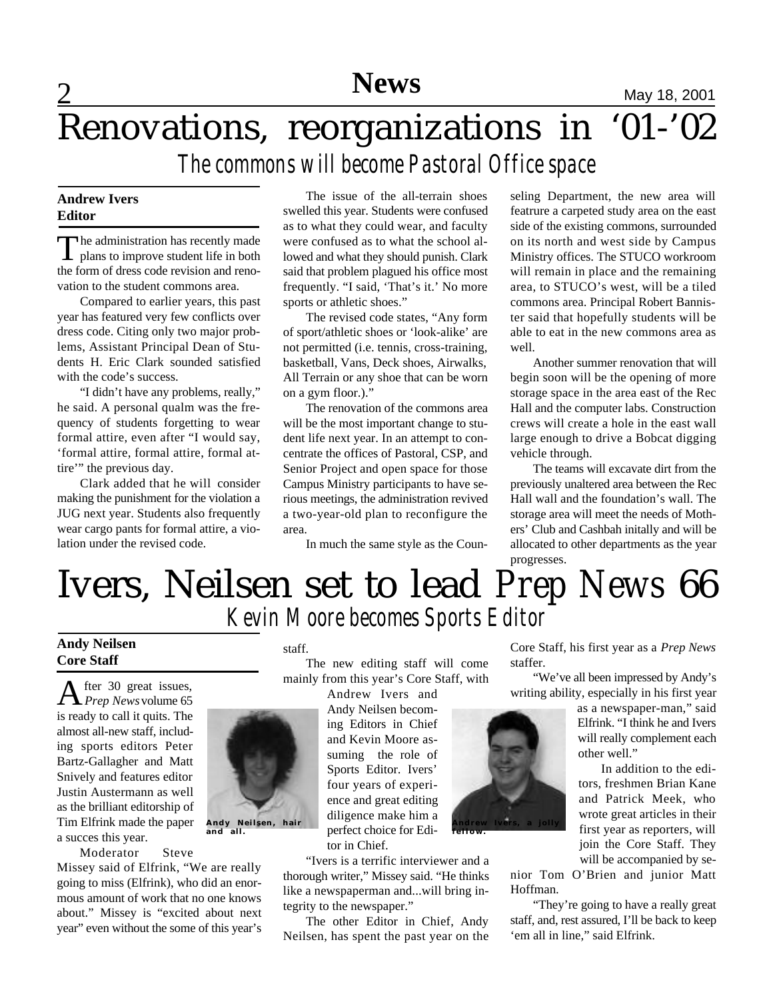# **News** May 18, 2001

# Renovations, reorganizations in '01-'02 *The commons will become Pastoral Office space*

#### **Andrew Ivers Editor**

2

The administration has recently made<br>plans to improve student life in both he administration has recently made the form of dress code revision and renovation to the student commons area.

Compared to earlier years, this past year has featured very few conflicts over dress code. Citing only two major problems, Assistant Principal Dean of Students H. Eric Clark sounded satisfied with the code's success.

"I didn't have any problems, really," he said. A personal qualm was the frequency of students forgetting to wear formal attire, even after "I would say, 'formal attire, formal attire, formal attire" the previous day.

Clark added that he will consider making the punishment for the violation a JUG next year. Students also frequently wear cargo pants for formal attire, a violation under the revised code.

The issue of the all-terrain shoes swelled this year. Students were confused as to what they could wear, and faculty were confused as to what the school allowed and what they should punish. Clark said that problem plagued his office most frequently. "I said, 'That's it.' No more sports or athletic shoes."

The revised code states, "Any form of sport/athletic shoes or 'look-alike' are not permitted (i.e. tennis, cross-training, basketball, Vans, Deck shoes, Airwalks, All Terrain or any shoe that can be worn on a gym floor.)."

The renovation of the commons area will be the most important change to student life next year. In an attempt to concentrate the offices of Pastoral, CSP, and Senior Project and open space for those Campus Ministry participants to have serious meetings, the administration revived a two-year-old plan to reconfigure the area.

In much the same style as the Coun-

seling Department, the new area will featrure a carpeted study area on the east side of the existing commons, surrounded on its north and west side by Campus Ministry offices. The STUCO workroom will remain in place and the remaining area, to STUCO's west, will be a tiled commons area. Principal Robert Bannister said that hopefully students will be able to eat in the new commons area as well.

Another summer renovation that will begin soon will be the opening of more storage space in the area east of the Rec Hall and the computer labs. Construction crews will create a hole in the east wall large enough to drive a Bobcat digging vehicle through.

The teams will excavate dirt from the previously unaltered area between the Rec Hall wall and the foundation's wall. The storage area will meet the needs of Mothers' Club and Cashbah initally and will be allocated to other departments as the year progresses.

# Ivers, Neilsen set to lead *Prep News* 66 *Kevin Moore becomes Sports Editor*

#### **Andy Neilsen Core Staff**

A fter 30 great issues, *Prep News* volume 65 is ready to call it quits. The almost all-new staff, including sports editors Peter Bartz-Gallagher and Matt Snively and features editor Justin Austermann as well as the brilliant editorship of Tim Elfrink made the paper a succes this year.

**Andy Neilsen, hair and all.**

Moderator Steve

Missey said of Elfrink, "We are really going to miss (Elfrink), who did an enormous amount of work that no one knows about." Missey is "excited about next year" even without the some of this year's

#### staff.

The new editing staff will come mainly from this year's Core Staff, with

> Andrew Ivers and Andy Neilsen becoming Editors in Chief and Kevin Moore assuming the role of Sports Editor. Ivers' four years of experience and great editing diligence make him a perfect choice for Editor in Chief.

"Ivers is a terrific interviewer and a thorough writer," Missey said. "He thinks like a newspaperman and...will bring integrity to the newspaper."

The other Editor in Chief, Andy Neilsen, has spent the past year on the Core Staff, his first year as a *Prep News* staffer.

"We've all been impressed by Andy's writing ability, especially in his first year

> as a newspaper-man," said Elfrink. "I think he and Ivers will really complement each other well."

In addition to the editors, freshmen Brian Kane and Patrick Meek, who wrote great articles in their first year as reporters, will join the Core Staff. They will be accompanied by se-

nior Tom O'Brien and junior Matt Hoffman.

"They're going to have a really great staff, and, rest assured, I'll be back to keep 'em all in line," said Elfrink.

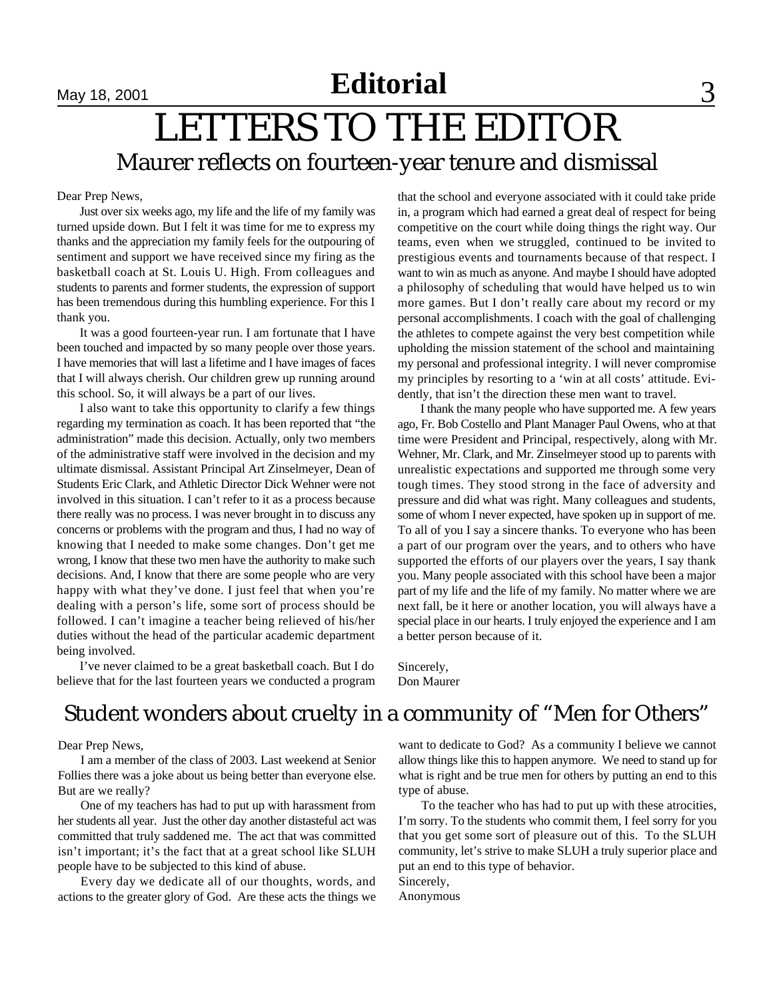# **Nay 18, 2001 Editorial** 3

## LETTERS TO THE EDITOR Maurer reflects on fourteen-year tenure and dismissal

#### Dear Prep News,

Just over six weeks ago, my life and the life of my family was turned upside down. But I felt it was time for me to express my thanks and the appreciation my family feels for the outpouring of sentiment and support we have received since my firing as the basketball coach at St. Louis U. High. From colleagues and students to parents and former students, the expression of support has been tremendous during this humbling experience. For this I thank you.

It was a good fourteen-year run. I am fortunate that I have been touched and impacted by so many people over those years. I have memories that will last a lifetime and I have images of faces that I will always cherish. Our children grew up running around this school. So, it will always be a part of our lives.

I also want to take this opportunity to clarify a few things regarding my termination as coach. It has been reported that "the administration" made this decision. Actually, only two members of the administrative staff were involved in the decision and my ultimate dismissal. Assistant Principal Art Zinselmeyer, Dean of Students Eric Clark, and Athletic Director Dick Wehner were not involved in this situation. I can't refer to it as a process because there really was no process. I was never brought in to discuss any concerns or problems with the program and thus, I had no way of knowing that I needed to make some changes. Don't get me wrong, I know that these two men have the authority to make such decisions. And, I know that there are some people who are very happy with what they've done. I just feel that when you're dealing with a person's life, some sort of process should be followed. I can't imagine a teacher being relieved of his/her duties without the head of the particular academic department being involved.

I've never claimed to be a great basketball coach. But I do believe that for the last fourteen years we conducted a program that the school and everyone associated with it could take pride in, a program which had earned a great deal of respect for being competitive on the court while doing things the right way. Our teams, even when we struggled, continued to be invited to prestigious events and tournaments because of that respect. I want to win as much as anyone. And maybe I should have adopted a philosophy of scheduling that would have helped us to win more games. But I don't really care about my record or my personal accomplishments. I coach with the goal of challenging the athletes to compete against the very best competition while upholding the mission statement of the school and maintaining my personal and professional integrity. I will never compromise my principles by resorting to a 'win at all costs' attitude. Evidently, that isn't the direction these men want to travel.

I thank the many people who have supported me. A few years ago, Fr. Bob Costello and Plant Manager Paul Owens, who at that time were President and Principal, respectively, along with Mr. Wehner, Mr. Clark, and Mr. Zinselmeyer stood up to parents with unrealistic expectations and supported me through some very tough times. They stood strong in the face of adversity and pressure and did what was right. Many colleagues and students, some of whom I never expected, have spoken up in support of me. To all of you I say a sincere thanks. To everyone who has been a part of our program over the years, and to others who have supported the efforts of our players over the years, I say thank you. Many people associated with this school have been a major part of my life and the life of my family. No matter where we are next fall, be it here or another location, you will always have a special place in our hearts. I truly enjoyed the experience and I am a better person because of it.

Sincerely, Don Maurer

### Student wonders about cruelty in a community of "Men for Others"

Dear Prep News,

I am a member of the class of 2003. Last weekend at Senior Follies there was a joke about us being better than everyone else. But are we really?

One of my teachers has had to put up with harassment from her students all year. Just the other day another distasteful act was committed that truly saddened me. The act that was committed isn't important; it's the fact that at a great school like SLUH people have to be subjected to this kind of abuse.

Every day we dedicate all of our thoughts, words, and actions to the greater glory of God. Are these acts the things we

want to dedicate to God? As a community I believe we cannot allow things like this to happen anymore. We need to stand up for what is right and be true men for others by putting an end to this type of abuse.

To the teacher who has had to put up with these atrocities, I'm sorry. To the students who commit them, I feel sorry for you that you get some sort of pleasure out of this. To the SLUH community, let's strive to make SLUH a truly superior place and put an end to this type of behavior.

Sincerely, Anonymous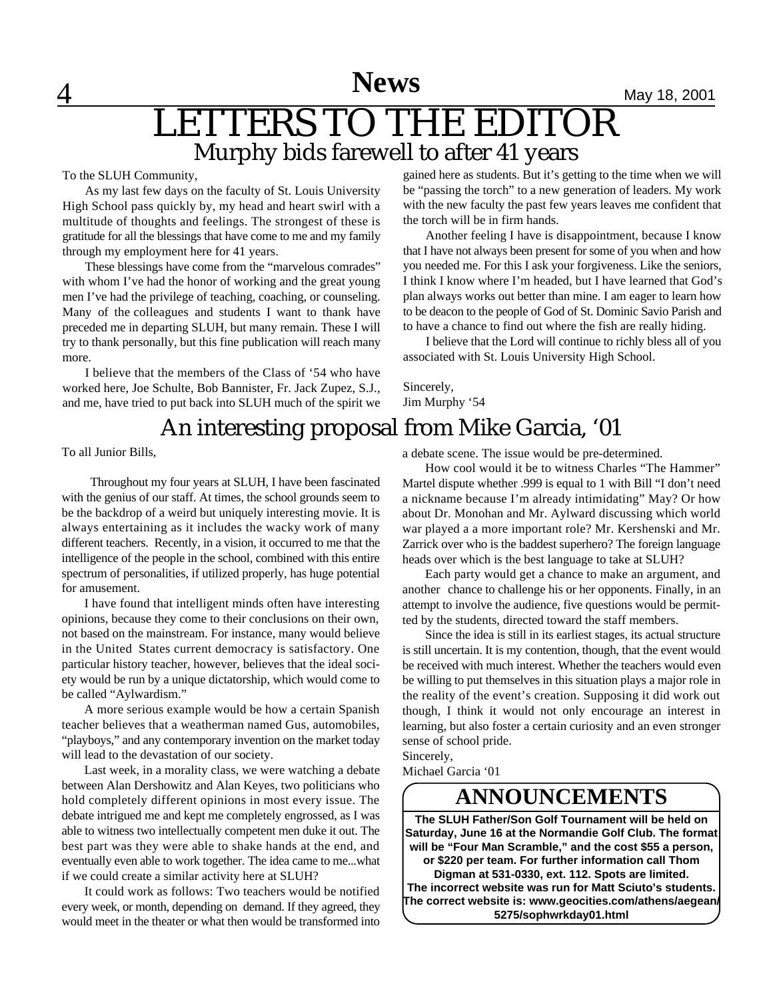**News** May 18, 2001

## LETTERS TO THE EDITOR Murphy bids farewell to after 41 years

To the SLUH Community,

 $\overline{4}$ 

As my last few days on the faculty of St. Louis University High School pass quickly by, my head and heart swirl with a multitude of thoughts and feelings. The strongest of these is gratitude for all the blessings that have come to me and my family through my employment here for 41 years.

These blessings have come from the "marvelous comrades" with whom I've had the honor of working and the great young men I've had the privilege of teaching, coaching, or counseling. Many of the colleagues and students I want to thank have preceded me in departing SLUH, but many remain. These I will try to thank personally, but this fine publication will reach many more.

I believe that the members of the Class of '54 who have worked here, Joe Schulte, Bob Bannister, Fr. Jack Zupez, S.J., and me, have tried to put back into SLUH much of the spirit we gained here as students. But it's getting to the time when we will be "passing the torch" to a new generation of leaders. My work with the new faculty the past few years leaves me confident that the torch will be in firm hands.

Another feeling I have is disappointment, because I know that I have not always been present for some of you when and how you needed me. For this I ask your forgiveness. Like the seniors, I think I know where I'm headed, but I have learned that God's plan always works out better than mine. I am eager to learn how to be deacon to the people of God of St. Dominic Savio Parish and to have a chance to find out where the fish are really hiding.

I believe that the Lord will continue to richly bless all of you associated with St. Louis University High School.

Sincerely, Jim Murphy '54

### An interesting proposal from Mike Garcia, '01

To all Junior Bills,

 Throughout my four years at SLUH, I have been fascinated with the genius of our staff. At times, the school grounds seem to be the backdrop of a weird but uniquely interesting movie. It is always entertaining as it includes the wacky work of many different teachers. Recently, in a vision, it occurred to me that the intelligence of the people in the school, combined with this entire spectrum of personalities, if utilized properly, has huge potential for amusement.

I have found that intelligent minds often have interesting opinions, because they come to their conclusions on their own, not based on the mainstream. For instance, many would believe in the United States current democracy is satisfactory. One particular history teacher, however, believes that the ideal society would be run by a unique dictatorship, which would come to be called "Aylwardism."

A more serious example would be how a certain Spanish teacher believes that a weatherman named Gus, automobiles, "playboys," and any contemporary invention on the market today will lead to the devastation of our society.

Last week, in a morality class, we were watching a debate between Alan Dershowitz and Alan Keyes, two politicians who hold completely different opinions in most every issue. The debate intrigued me and kept me completely engrossed, as I was able to witness two intellectually competent men duke it out. The best part was they were able to shake hands at the end, and eventually even able to work together. The idea came to me...what if we could create a similar activity here at SLUH?

It could work as follows: Two teachers would be notified every week, or month, depending on demand. If they agreed, they would meet in the theater or what then would be transformed into

a debate scene. The issue would be pre-determined.

How cool would it be to witness Charles "The Hammer" Martel dispute whether .999 is equal to 1 with Bill "I don't need a nickname because I'm already intimidating" May? Or how about Dr. Monohan and Mr. Aylward discussing which world war played a a more important role? Mr. Kershenski and Mr. Zarrick over who is the baddest superhero? The foreign language heads over which is the best language to take at SLUH?

Each party would get a chance to make an argument, and another chance to challenge his or her opponents. Finally, in an attempt to involve the audience, five questions would be permitted by the students, directed toward the staff members.

Since the idea is still in its earliest stages, its actual structure is still uncertain. It is my contention, though, that the event would be received with much interest. Whether the teachers would even be willing to put themselves in this situation plays a major role in the reality of the event's creation. Supposing it did work out though, I think it would not only encourage an interest in learning, but also foster a certain curiosity and an even stronger sense of school pride.

Sincerely,

Michael Garcia '01

### **ANNOUNCEMENTS**

**The SLUH Father/Son Golf Tournament will be held on Saturday, June 16 at the Normandie Golf Club. The format will be "Four Man Scramble," and the cost \$55 a person, or \$220 per team. For further information call Thom Digman at 531-0330, ext. 112. Spots are limited. The incorrect website was run for Matt Sciuto's students. The correct website is: www.geocities.com/athens/aegean/ 5275/sophwrkday01.html**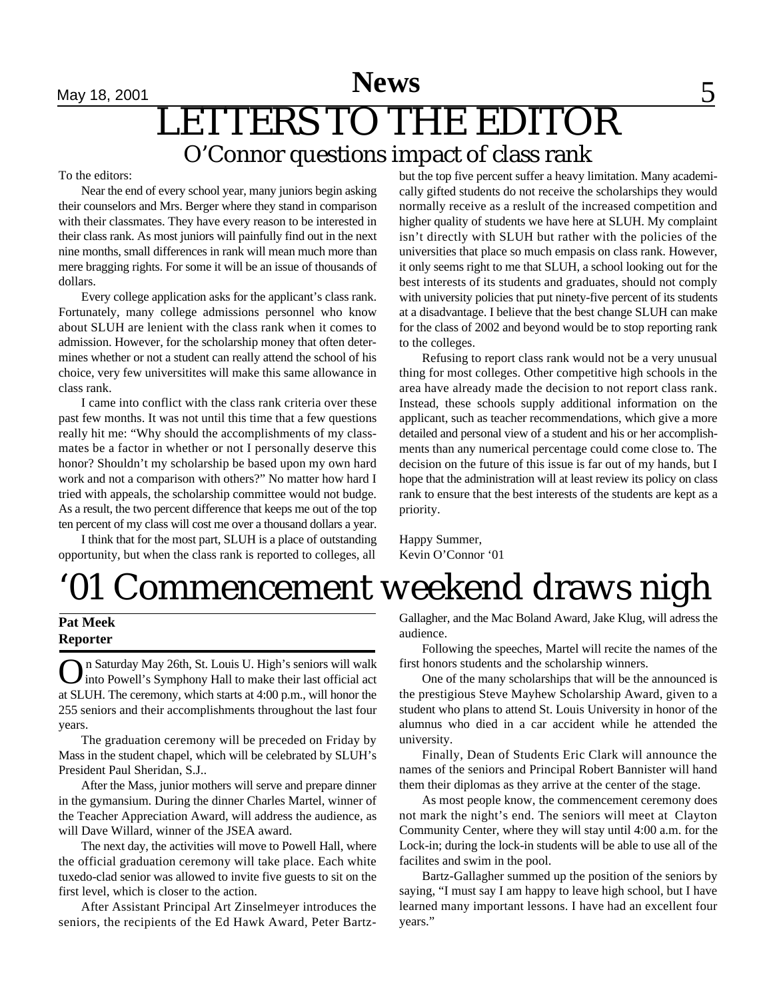# **News** 5 LETTERS TO THE EDITOR O'Connor questions impact of class rank

#### To the editors:

Near the end of every school year, many juniors begin asking their counselors and Mrs. Berger where they stand in comparison with their classmates. They have every reason to be interested in their class rank. As most juniors will painfully find out in the next nine months, small differences in rank will mean much more than mere bragging rights. For some it will be an issue of thousands of dollars.

Every college application asks for the applicant's class rank. Fortunately, many college admissions personnel who know about SLUH are lenient with the class rank when it comes to admission. However, for the scholarship money that often determines whether or not a student can really attend the school of his choice, very few universitites will make this same allowance in class rank.

I came into conflict with the class rank criteria over these past few months. It was not until this time that a few questions really hit me: "Why should the accomplishments of my classmates be a factor in whether or not I personally deserve this honor? Shouldn't my scholarship be based upon my own hard work and not a comparison with others?" No matter how hard I tried with appeals, the scholarship committee would not budge. As a result, the two percent difference that keeps me out of the top ten percent of my class will cost me over a thousand dollars a year.

I think that for the most part, SLUH is a place of outstanding opportunity, but when the class rank is reported to colleges, all

but the top five percent suffer a heavy limitation. Many academically gifted students do not receive the scholarships they would normally receive as a reslult of the increased competition and higher quality of students we have here at SLUH. My complaint isn't directly with SLUH but rather with the policies of the universities that place so much empasis on class rank. However, it only seems right to me that SLUH, a school looking out for the best interests of its students and graduates, should not comply with university policies that put ninety-five percent of its students at a disadvantage. I believe that the best change SLUH can make for the class of 2002 and beyond would be to stop reporting rank to the colleges.

Refusing to report class rank would not be a very unusual thing for most colleges. Other competitive high schools in the area have already made the decision to not report class rank. Instead, these schools supply additional information on the applicant, such as teacher recommendations, which give a more detailed and personal view of a student and his or her accomplishments than any numerical percentage could come close to. The decision on the future of this issue is far out of my hands, but I hope that the administration will at least review its policy on class rank to ensure that the best interests of the students are kept as a priority.

Happy Summer, Kevin O'Connor '01

# '01 Commencement weekend draws nigh

#### **Pat Meek Reporter**

O n Saturday May 26th, St. Louis U. High's seniors will walk into Powell's Symphony Hall to make their last official act at SLUH. The ceremony, which starts at 4:00 p.m., will honor the 255 seniors and their accomplishments throughout the last four years.

The graduation ceremony will be preceded on Friday by Mass in the student chapel, which will be celebrated by SLUH's President Paul Sheridan, S.J..

After the Mass, junior mothers will serve and prepare dinner in the gymansium. During the dinner Charles Martel, winner of the Teacher Appreciation Award, will address the audience, as will Dave Willard, winner of the JSEA award.

The next day, the activities will move to Powell Hall, where the official graduation ceremony will take place. Each white tuxedo-clad senior was allowed to invite five guests to sit on the first level, which is closer to the action.

After Assistant Principal Art Zinselmeyer introduces the seniors, the recipients of the Ed Hawk Award, Peter BartzGallagher, and the Mac Boland Award, Jake Klug, will adress the audience.

Following the speeches, Martel will recite the names of the first honors students and the scholarship winners.

One of the many scholarships that will be the announced is the prestigious Steve Mayhew Scholarship Award, given to a student who plans to attend St. Louis University in honor of the alumnus who died in a car accident while he attended the university.

Finally, Dean of Students Eric Clark will announce the names of the seniors and Principal Robert Bannister will hand them their diplomas as they arrive at the center of the stage.

As most people know, the commencement ceremony does not mark the night's end. The seniors will meet at Clayton Community Center, where they will stay until 4:00 a.m. for the Lock-in; during the lock-in students will be able to use all of the facilites and swim in the pool.

Bartz-Gallagher summed up the position of the seniors by saying, "I must say I am happy to leave high school, but I have learned many important lessons. I have had an excellent four years."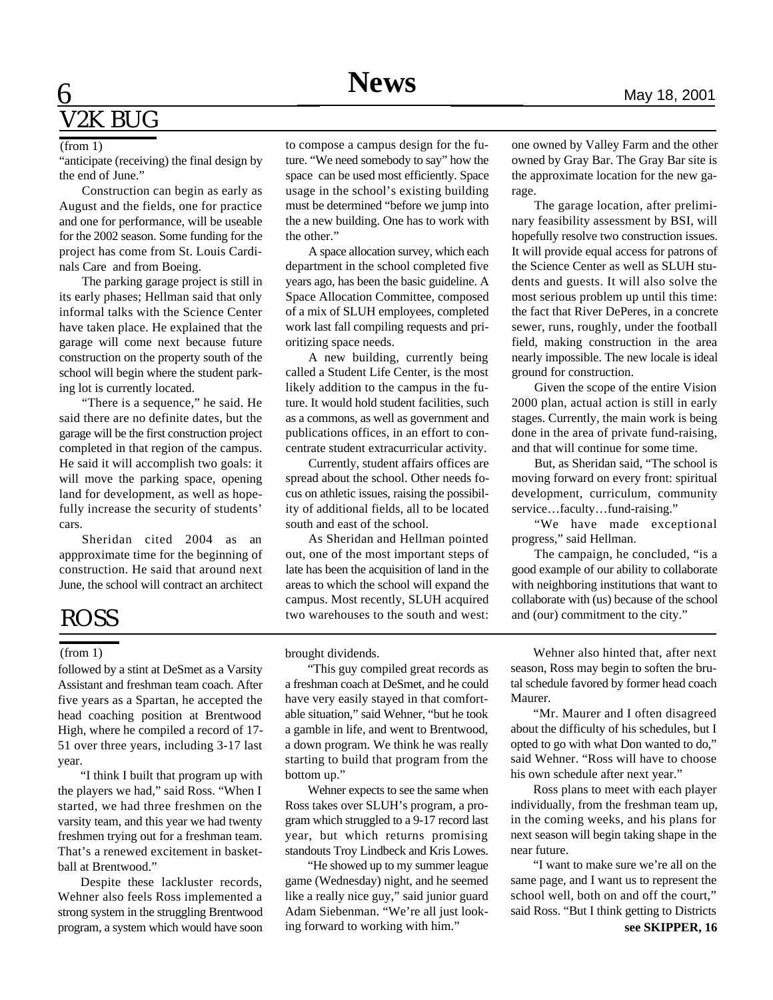### 6 V2K BUG

#### (from 1)

"anticipate (receiving) the final design by the end of June."

Construction can begin as early as August and the fields, one for practice and one for performance, will be useable for the 2002 season. Some funding for the project has come from St. Louis Cardinals Care and from Boeing.

The parking garage project is still in its early phases; Hellman said that only informal talks with the Science Center have taken place. He explained that the garage will come next because future construction on the property south of the school will begin where the student parking lot is currently located.

"There is a sequence," he said. He said there are no definite dates, but the garage will be the first construction project completed in that region of the campus. He said it will accomplish two goals: it will move the parking space, opening land for development, as well as hopefully increase the security of students' cars.

Sheridan cited 2004 as an appproximate time for the beginning of construction. He said that around next June, the school will contract an architect

### ROSS

#### (from 1)

followed by a stint at DeSmet as a Varsity Assistant and freshman team coach. After five years as a Spartan, he accepted the head coaching position at Brentwood High, where he compiled a record of 17- 51 over three years, including 3-17 last year.

"I think I built that program up with the players we had," said Ross. "When I started, we had three freshmen on the varsity team, and this year we had twenty freshmen trying out for a freshman team. That's a renewed excitement in basketball at Brentwood."

Despite these lackluster records, Wehner also feels Ross implemented a strong system in the struggling Brentwood program, a system which would have soon

to compose a campus design for the future. "We need somebody to say" how the space can be used most efficiently. Space usage in the school's existing building must be determined "before we jump into the a new building. One has to work with the other."

A space allocation survey, which each department in the school completed five years ago, has been the basic guideline. A Space Allocation Committee, composed of a mix of SLUH employees, completed work last fall compiling requests and prioritizing space needs.

A new building, currently being called a Student Life Center, is the most likely addition to the campus in the future. It would hold student facilities, such as a commons, as well as government and publications offices, in an effort to concentrate student extracurricular activity.

Currently, student affairs offices are spread about the school. Other needs focus on athletic issues, raising the possibility of additional fields, all to be located south and east of the school.

As Sheridan and Hellman pointed out, one of the most important steps of late has been the acquisition of land in the areas to which the school will expand the campus. Most recently, SLUH acquired two warehouses to the south and west:

brought dividends.

"This guy compiled great records as a freshman coach at DeSmet, and he could have very easily stayed in that comfortable situation," said Wehner, "but he took a gamble in life, and went to Brentwood, a down program. We think he was really starting to build that program from the bottom up."

Wehner expects to see the same when Ross takes over SLUH's program, a program which struggled to a 9-17 record last year, but which returns promising standouts Troy Lindbeck and Kris Lowes.

"He showed up to my summer league game (Wednesday) night, and he seemed like a really nice guy," said junior guard Adam Siebenman. "We're all just looking forward to working with him."

one owned by Valley Farm and the other owned by Gray Bar. The Gray Bar site is the approximate location for the new garage.

The garage location, after preliminary feasibility assessment by BSI, will hopefully resolve two construction issues. It will provide equal access for patrons of the Science Center as well as SLUH students and guests. It will also solve the most serious problem up until this time: the fact that River DePeres, in a concrete sewer, runs, roughly, under the football field, making construction in the area nearly impossible. The new locale is ideal ground for construction.

Given the scope of the entire Vision 2000 plan, actual action is still in early stages. Currently, the main work is being done in the area of private fund-raising, and that will continue for some time.

But, as Sheridan said, "The school is moving forward on every front: spiritual development, curriculum, community service…faculty…fund-raising."

"We have made exceptional progress," said Hellman.

The campaign, he concluded, "is a good example of our ability to collaborate with neighboring institutions that want to collaborate with (us) because of the school and (our) commitment to the city."

Wehner also hinted that, after next season, Ross may begin to soften the brutal schedule favored by former head coach Maurer.

"Mr. Maurer and I often disagreed about the difficulty of his schedules, but I opted to go with what Don wanted to do," said Wehner. "Ross will have to choose his own schedule after next year."

Ross plans to meet with each player individually, from the freshman team up, in the coming weeks, and his plans for next season will begin taking shape in the near future.

"I want to make sure we're all on the same page, and I want us to represent the school well, both on and off the court," said Ross. "But I think getting to Districts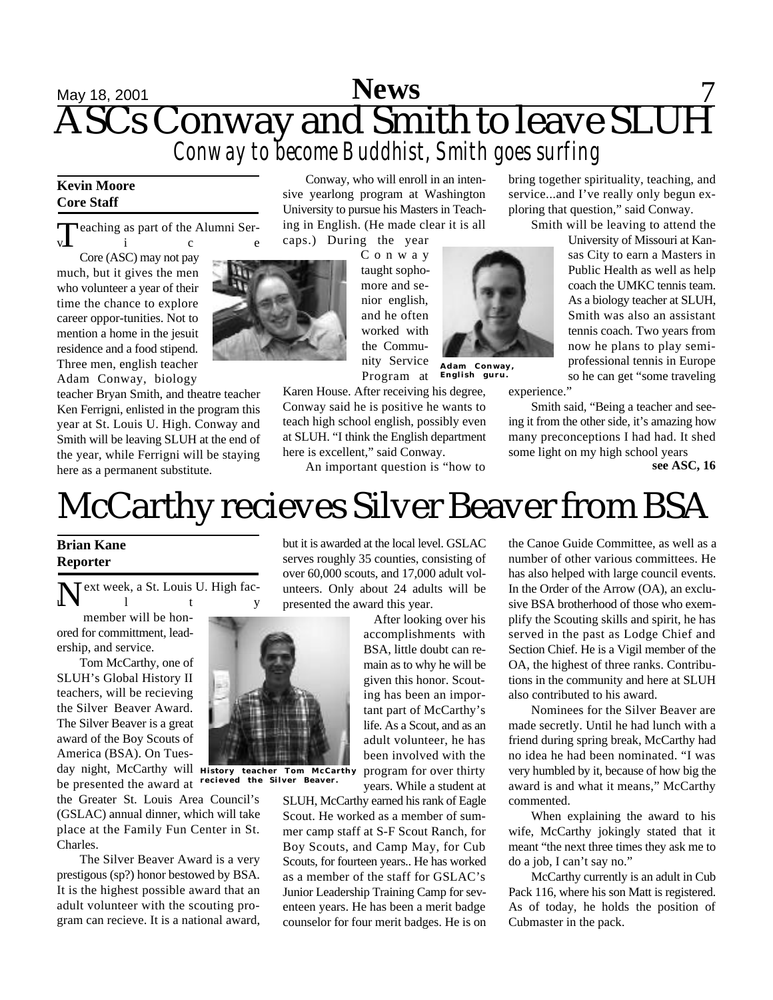### **May 18, 2001 News 7** ASCs Conway and Smith to leave SLUH *Conway to become Buddhist, Smith goes surfing* **News**

#### **Kevin Moore Core Staff**

 $\prod$ eaching as part of the Alumni Ser $v \perp$  i c e

Core (ASC) may not pay much, but it gives the men who volunteer a year of their time the chance to explore career oppor-tunities. Not to mention a home in the jesuit residence and a food stipend. Three men, english teacher Adam Conway, biology

teacher Bryan Smith, and theatre teacher Ken Ferrigni, enlisted in the program this year at St. Louis U. High. Conway and Smith will be leaving SLUH at the end of the year, while Ferrigni will be staying here as a permanent substitute.

Conway, who will enroll in an intensive yearlong program at Washington University to pursue his Masters in Teaching in English. (He made clear it is all caps.) During the year

**Adam Conway, English guru.** C o n w a y taught sophomore and senior english, and he often worked with the Community Service Program at

Karen House. After receiving his degree, Conway said he is positive he wants to teach high school english, possibly even at SLUH. "I think the English department here is excellent," said Conway.

An important question is "how to

bring together spirituality, teaching, and service...and I've really only begun exploring that question," said Conway.

Smith will be leaving to attend the

University of Missouri at Kansas City to earn a Masters in Public Health as well as help coach the UMKC tennis team. As a biology teacher at SLUH, Smith was also an assistant tennis coach. Two years from now he plans to play semiprofessional tennis in Europe so he can get "some traveling

experience."

Smith said, "Being a teacher and seeing it from the other side, it's amazing how many preconceptions I had had. It shed some light on my high school years

**see ASC, 16**

# McCarthy recieves Silver Beaver from BSA

#### **Brian Kane Reporter**

N ext week, a St. Louis U. High fac $u \,$  i t y

member will be honored for committment, leadership, and service.

Tom McCarthy, one of SLUH's Global History II teachers, will be recieving the Silver Beaver Award. The Silver Beaver is a great award of the Boy Scouts of America (BSA). On Tues-

day night, McCarthy will be presented the award at

the Greater St. Louis Area Council's (GSLAC) annual dinner, which will take place at the Family Fun Center in St. Charles.

The Silver Beaver Award is a very prestigous (sp?) honor bestowed by BSA. It is the highest possible award that an adult volunteer with the scouting program can recieve. It is a national award, but it is awarded at the local level. GSLAC serves roughly 35 counties, consisting of over 60,000 scouts, and 17,000 adult volunteers. Only about 24 adults will be presented the award this year.

After looking over his accomplishments with BSA, little doubt can remain as to why he will be given this honor. Scouting has been an important part of McCarthy's life. As a Scout, and as an adult volunteer, he has been involved with the program for over thirty years. While a student at

SLUH, McCarthy earned his rank of Eagle Scout. He worked as a member of summer camp staff at S-F Scout Ranch, for Boy Scouts, and Camp May, for Cub Scouts, for fourteen years.. He has worked as a member of the staff for GSLAC's Junior Leadership Training Camp for seventeen years. He has been a merit badge counselor for four merit badges. He is on the Canoe Guide Committee, as well as a number of other various committees. He has also helped with large council events. In the Order of the Arrow (OA), an exclusive BSA brotherhood of those who exemplify the Scouting skills and spirit, he has served in the past as Lodge Chief and Section Chief. He is a Vigil member of the OA, the highest of three ranks. Contributions in the community and here at SLUH also contributed to his award.

Nominees for the Silver Beaver are made secretly. Until he had lunch with a friend during spring break, McCarthy had no idea he had been nominated. "I was very humbled by it, because of how big the award is and what it means," McCarthy commented.

When explaining the award to his wife, McCarthy jokingly stated that it meant "the next three times they ask me to do a job, I can't say no."

McCarthy currently is an adult in Cub Pack 116, where his son Matt is registered. As of today, he holds the position of Cubmaster in the pack.



**History teacher Tom McCarthy recieved the Silver Beaver.**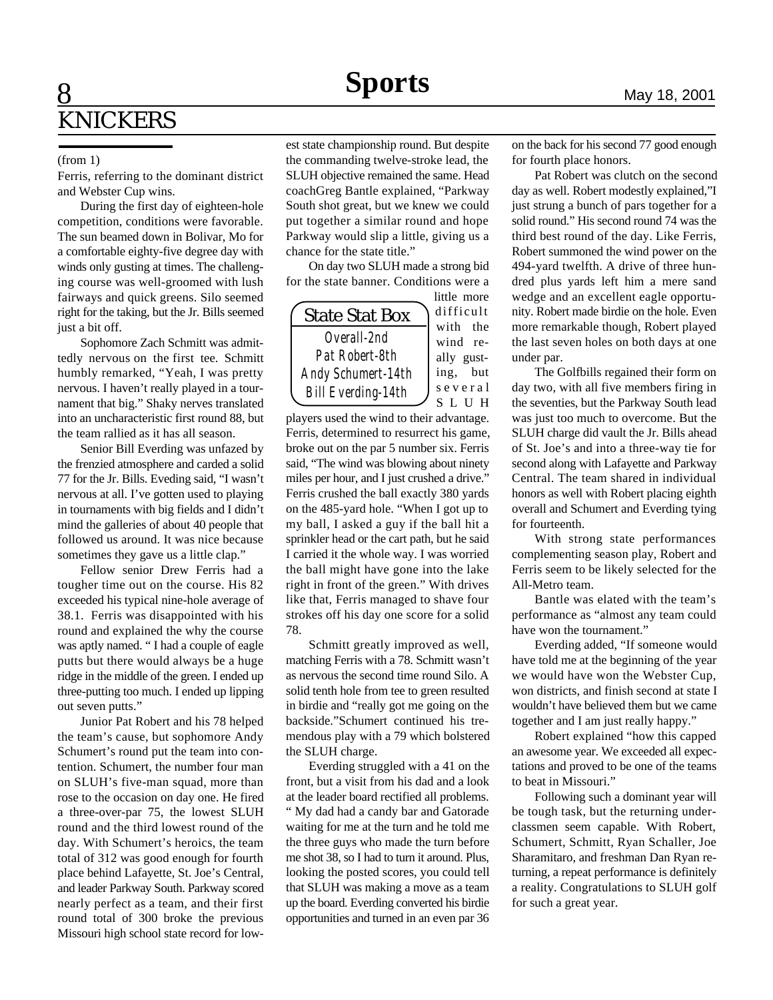### 8 **KNICKERS**

#### (from 1)

Ferris, referring to the dominant district and Webster Cup wins.

During the first day of eighteen-hole competition, conditions were favorable. The sun beamed down in Bolivar, Mo for a comfortable eighty-five degree day with winds only gusting at times. The challenging course was well-groomed with lush fairways and quick greens. Silo seemed right for the taking, but the Jr. Bills seemed just a bit off.

Sophomore Zach Schmitt was admittedly nervous on the first tee. Schmitt humbly remarked, "Yeah, I was pretty nervous. I haven't really played in a tournament that big." Shaky nerves translated into an uncharacteristic first round 88, but the team rallied as it has all season.

Senior Bill Everding was unfazed by the frenzied atmosphere and carded a solid 77 for the Jr. Bills. Eveding said, "I wasn't nervous at all. I've gotten used to playing in tournaments with big fields and I didn't mind the galleries of about 40 people that followed us around. It was nice because sometimes they gave us a little clap."

Fellow senior Drew Ferris had a tougher time out on the course. His 82 exceeded his typical nine-hole average of 38.1. Ferris was disappointed with his round and explained the why the course was aptly named. " I had a couple of eagle putts but there would always be a huge ridge in the middle of the green. I ended up three-putting too much. I ended up lipping out seven putts."

Junior Pat Robert and his 78 helped the team's cause, but sophomore Andy Schumert's round put the team into contention. Schumert, the number four man on SLUH's five-man squad, more than rose to the occasion on day one. He fired a three-over-par 75, the lowest SLUH round and the third lowest round of the day. With Schumert's heroics, the team total of 312 was good enough for fourth place behind Lafayette, St. Joe's Central, and leader Parkway South. Parkway scored nearly perfect as a team, and their first round total of 300 broke the previous Missouri high school state record for lowest state championship round. But despite the commanding twelve-stroke lead, the SLUH objective remained the same. Head coachGreg Bantle explained, "Parkway South shot great, but we knew we could put together a similar round and hope Parkway would slip a little, giving us a chance for the state title."

On day two SLUH made a strong bid for the state banner. Conditions were a



players used the wind to their advantage. Ferris, determined to resurrect his game, broke out on the par 5 number six. Ferris said, "The wind was blowing about ninety miles per hour, and I just crushed a drive." Ferris crushed the ball exactly 380 yards on the 485-yard hole. "When I got up to my ball, I asked a guy if the ball hit a sprinkler head or the cart path, but he said I carried it the whole way. I was worried the ball might have gone into the lake right in front of the green." With drives like that, Ferris managed to shave four strokes off his day one score for a solid 78.

Schmitt greatly improved as well, matching Ferris with a 78. Schmitt wasn't as nervous the second time round Silo. A solid tenth hole from tee to green resulted in birdie and "really got me going on the backside."Schumert continued his tremendous play with a 79 which bolstered the SLUH charge.

Everding struggled with a 41 on the front, but a visit from his dad and a look at the leader board rectified all problems. " My dad had a candy bar and Gatorade waiting for me at the turn and he told me the three guys who made the turn before me shot 38, so I had to turn it around. Plus, looking the posted scores, you could tell that SLUH was making a move as a team up the board. Everding converted his birdie opportunities and turned in an even par 36

on the back for his second 77 good enough for fourth place honors.

Pat Robert was clutch on the second day as well. Robert modestly explained,"I just strung a bunch of pars together for a solid round." His second round 74 was the third best round of the day. Like Ferris, Robert summoned the wind power on the 494-yard twelfth. A drive of three hundred plus yards left him a mere sand wedge and an excellent eagle opportunity. Robert made birdie on the hole. Even more remarkable though, Robert played the last seven holes on both days at one under par.

The Golfbills regained their form on day two, with all five members firing in the seventies, but the Parkway South lead was just too much to overcome. But the SLUH charge did vault the Jr. Bills ahead of St. Joe's and into a three-way tie for second along with Lafayette and Parkway Central. The team shared in individual honors as well with Robert placing eighth overall and Schumert and Everding tying for fourteenth.

With strong state performances complementing season play, Robert and Ferris seem to be likely selected for the All-Metro team.

Bantle was elated with the team's performance as "almost any team could have won the tournament."

Everding added, "If someone would have told me at the beginning of the year we would have won the Webster Cup, won districts, and finish second at state I wouldn't have believed them but we came together and I am just really happy."

Robert explained "how this capped an awesome year. We exceeded all expectations and proved to be one of the teams to beat in Missouri."

Following such a dominant year will be tough task, but the returning underclassmen seem capable. With Robert, Schumert, Schmitt, Ryan Schaller, Joe Sharamitaro, and freshman Dan Ryan returning, a repeat performance is definitely a reality. Congratulations to SLUH golf for such a great year.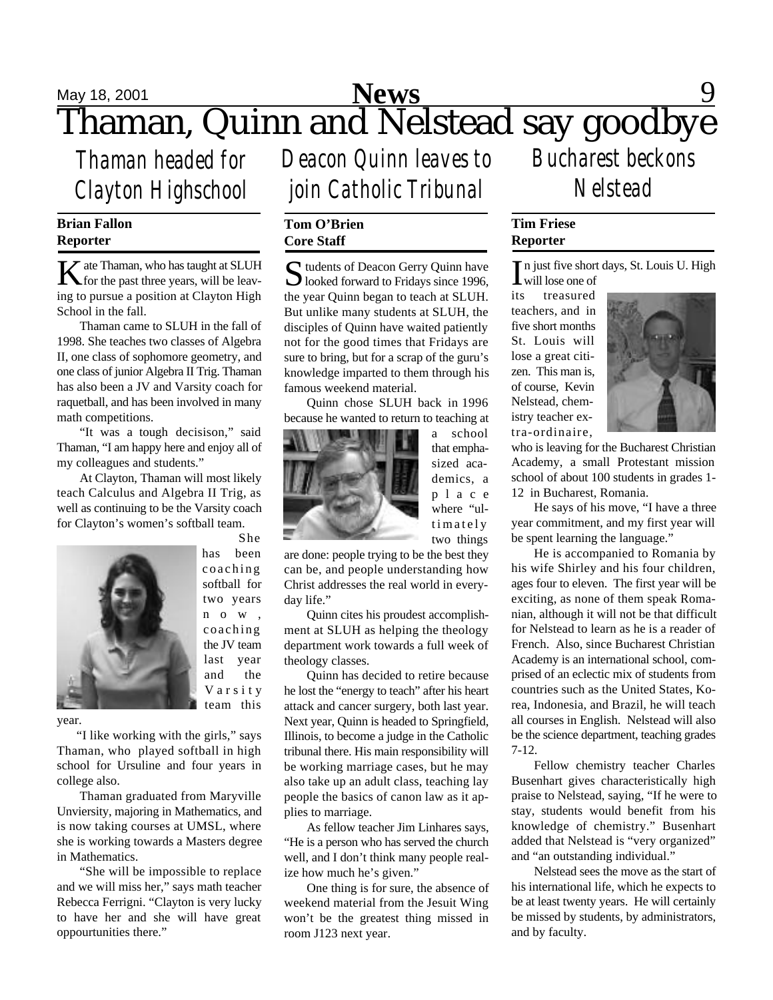### **May 18, 2001 News** 9 Thaman, Quinn and Nelstead say goodbye **News**

*Thaman headed for Clayton Highschool*

#### **Brian Fallon Reporter**

K ate Thaman, who has taught at SLUH<br>for the past three years, will be leav- $\mathbb{Z}$  ate Thaman, who has taught at SLUH ing to pursue a position at Clayton High School in the fall.

Thaman came to SLUH in the fall of 1998. She teaches two classes of Algebra II, one class of sophomore geometry, and one class of junior Algebra II Trig. Thaman has also been a JV and Varsity coach for raquetball, and has been involved in many math competitions.

"It was a tough decisison," said Thaman, "I am happy here and enjoy all of my colleagues and students."

At Clayton, Thaman will most likely teach Calculus and Algebra II Trig, as well as continuing to be the Varsity coach for Clayton's women's softball team.



She has been coaching softball for two years n o w , coaching the JV team last year and the V a r s i t y team this

year.

 "I like working with the girls," says Thaman, who played softball in high school for Ursuline and four years in college also.

Thaman graduated from Maryville Unviersity, majoring in Mathematics, and is now taking courses at UMSL, where she is working towards a Masters degree in Mathematics.

"She will be impossible to replace and we will miss her," says math teacher Rebecca Ferrigni. "Clayton is very lucky to have her and she will have great oppourtunities there."

*Deacon Quinn leaves to join Catholic Tribunal*

#### **Tom O'Brien Core Staff**

Sudents of Deacon Gerry Quinn have<br>
looked forward to Fridays since 1996, D looked forward to Fridays since 1996, the year Quinn began to teach at SLUH. But unlike many students at SLUH, the disciples of Quinn have waited patiently not for the good times that Fridays are sure to bring, but for a scrap of the guru's knowledge imparted to them through his famous weekend material.

Quinn chose SLUH back in 1996 because he wanted to return to teaching at



a school that emphasized academics, a p l a c e where "ultimately two things

are done: people trying to be the best they can be, and people understanding how Christ addresses the real world in everyday life."

Quinn cites his proudest accomplishment at SLUH as helping the theology department work towards a full week of theology classes.

Quinn has decided to retire because he lost the "energy to teach" after his heart attack and cancer surgery, both last year. Next year, Quinn is headed to Springfield, Illinois, to become a judge in the Catholic tribunal there. His main responsibility will be working marriage cases, but he may also take up an adult class, teaching lay people the basics of canon law as it applies to marriage.

As fellow teacher Jim Linhares says, "He is a person who has served the church well, and I don't think many people realize how much he's given."

One thing is for sure, the absence of weekend material from the Jesuit Wing won't be the greatest thing missed in room J123 next year.

*Bucharest beckons Nelstead*

### **Tim Friese Reporter**

In just five short days, St. Louis U. High<br>will lose one of will lose one of

its treasured teachers, and in five short months St. Louis will lose a great citizen. This man is, of course, Kevin Nelstead, chemistry teacher extra-ordinaire,



who is leaving for the Bucharest Christian Academy, a small Protestant mission school of about 100 students in grades 1- 12 in Bucharest, Romania.

He says of his move, "I have a three year commitment, and my first year will be spent learning the language."

He is accompanied to Romania by his wife Shirley and his four children, ages four to eleven. The first year will be exciting, as none of them speak Romanian, although it will not be that difficult for Nelstead to learn as he is a reader of French. Also, since Bucharest Christian Academy is an international school, comprised of an eclectic mix of students from countries such as the United States, Korea, Indonesia, and Brazil, he will teach all courses in English. Nelstead will also be the science department, teaching grades 7-12.

Fellow chemistry teacher Charles Busenhart gives characteristically high praise to Nelstead, saying, "If he were to stay, students would benefit from his knowledge of chemistry." Busenhart added that Nelstead is "very organized" and "an outstanding individual."

Nelstead sees the move as the start of his international life, which he expects to be at least twenty years. He will certainly be missed by students, by administrators, and by faculty.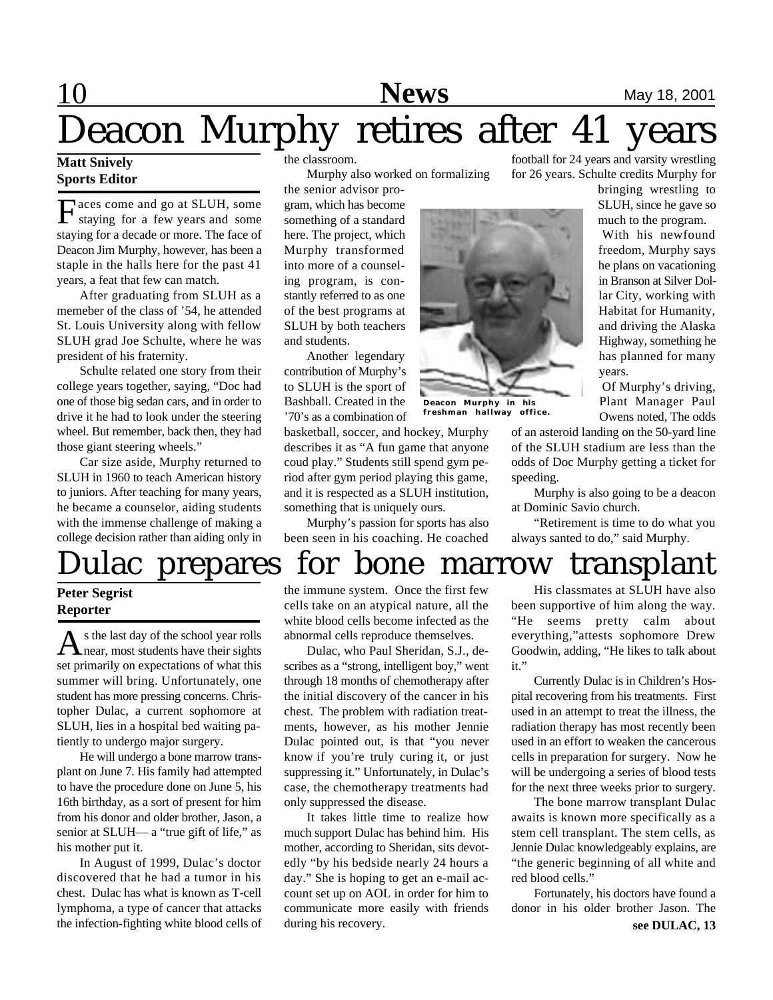## **10 News** May 18, 2001 Deacon Murphy retires after 41 **News**

#### **Matt Snively Sports Editor**

Faces come and go at SLUH, some<br>staying for a few years and some<br>staying for a decade or more. The face of aces come and go at SLUH, some staying for a few years and some Deacon Jim Murphy, however, has been a staple in the halls here for the past 41 years, a feat that few can match.

After graduating from SLUH as a memeber of the class of '54, he attended St. Louis University along with fellow SLUH grad Joe Schulte, where he was president of his fraternity.

Schulte related one story from their college years together, saying, "Doc had one of those big sedan cars, and in order to drive it he had to look under the steering wheel. But remember, back then, they had those giant steering wheels."

Car size aside, Murphy returned to SLUH in 1960 to teach American history to juniors. After teaching for many years, he became a counselor, aiding students with the immense challenge of making a college decision rather than aiding only in the classroom.

Murphy also worked on formalizing

the senior advisor program, which has become something of a standard here. The project, which Murphy transformed into more of a counseling program, is constantly referred to as one of the best programs at SLUH by both teachers and students.

Another legendary contribution of Murphy's to SLUH is the sport of Bashball. Created in the '70's as a combination of

basketball, soccer, and hockey, Murphy describes it as "A fun game that anyone coud play." Students still spend gym period after gym period playing this game, and it is respected as a SLUH institution, something that is uniquely ours.

Murphy's passion for sports has also been seen in his coaching. He coached



**Deacon Murphy in his** freshman hallway

football for 24 years and varsity wrestling for 26 years. Schulte credits Murphy for

> bringing wrestling to SLUH, since he gave so much to the program.

> With his newfound freedom, Murphy says he plans on vacationing in Branson at Silver Dollar City, working with Habitat for Humanity, and driving the Alaska Highway, something he has planned for many years.

> Of Murphy's driving, Plant Manager Paul Owens noted, The odds

of an asteroid landing on the 50-yard line of the SLUH stadium are less than the odds of Doc Murphy getting a ticket for speeding.

Murphy is also going to be a deacon at Dominic Savio church.

"Retirement is time to do what you always santed to do," said Murphy.

# ulac prepares for bone marrow transplant

#### **Peter Segrist Reporter**

As the last day of the school year rolls<br>hear, most students have their sights near, most students have their sights set primarily on expectations of what this summer will bring. Unfortunately, one student has more pressing concerns. Christopher Dulac, a current sophomore at SLUH, lies in a hospital bed waiting patiently to undergo major surgery.

He will undergo a bone marrow transplant on June 7. His family had attempted to have the procedure done on June 5, his 16th birthday, as a sort of present for him from his donor and older brother, Jason, a senior at SLUH— a "true gift of life," as his mother put it.

In August of 1999, Dulac's doctor discovered that he had a tumor in his chest. Dulac has what is known as T-cell lymphoma, a type of cancer that attacks the infection-fighting white blood cells of

the immune system. Once the first few cells take on an atypical nature, all the white blood cells become infected as the abnormal cells reproduce themselves.

Dulac, who Paul Sheridan, S.J., describes as a "strong, intelligent boy," went through 18 months of chemotherapy after the initial discovery of the cancer in his chest. The problem with radiation treatments, however, as his mother Jennie Dulac pointed out, is that "you never know if you're truly curing it, or just suppressing it." Unfortunately, in Dulac's case, the chemotherapy treatments had only suppressed the disease.

It takes little time to realize how much support Dulac has behind him. His mother, according to Sheridan, sits devotedly "by his bedside nearly 24 hours a day." She is hoping to get an e-mail account set up on AOL in order for him to communicate more easily with friends during his recovery.

His classmates at SLUH have also been supportive of him along the way. "He seems pretty calm about everything,"attests sophomore Drew Goodwin, adding, "He likes to talk about it."

Currently Dulac is in Children's Hospital recovering from his treatments. First used in an attempt to treat the illness, the radiation therapy has most recently been used in an effort to weaken the cancerous cells in preparation for surgery. Now he will be undergoing a series of blood tests for the next three weeks prior to surgery.

The bone marrow transplant Dulac awaits is known more specifically as a stem cell transplant. The stem cells, as Jennie Dulac knowledgeably explains, are "the generic beginning of all white and red blood cells."

Fortunately, his doctors have found a donor in his older brother Jason. The **see DULAC, 13**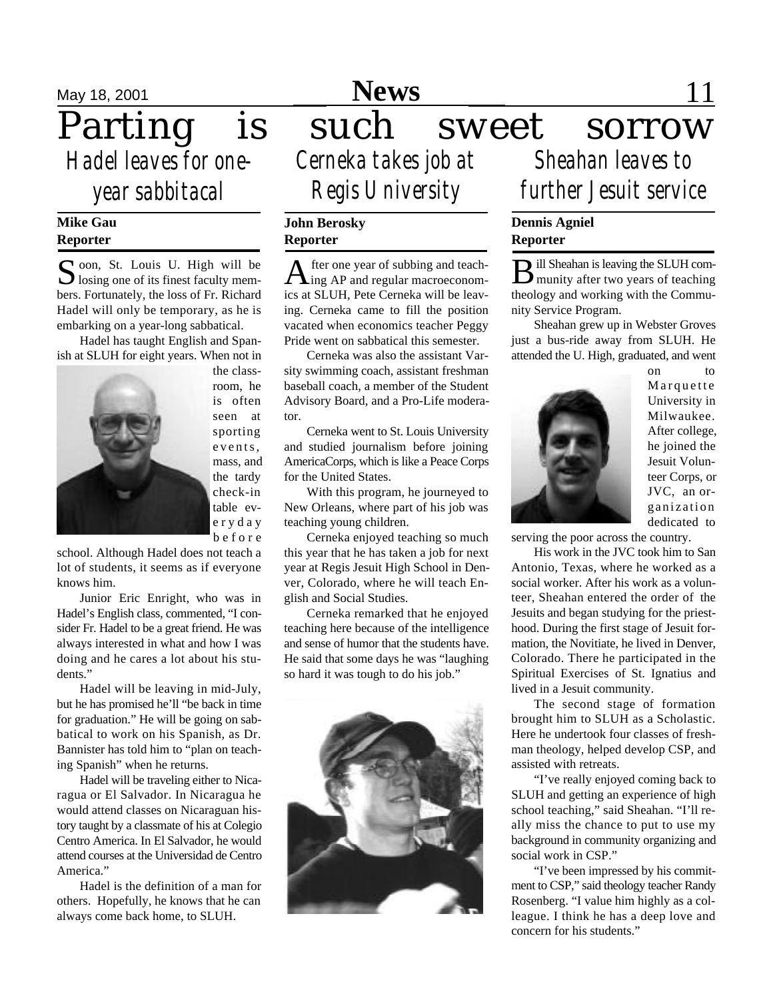*Hadel leaves for oneyear sabbitacal*

#### **Mike Gau Reporter**

Soon, St. Louis U. High will be losing one of its finest faculty mem- $\bigcup$  losing one of its finest faculty members. Fortunately, the loss of Fr. Richard Hadel will only be temporary, as he is embarking on a year-long sabbatical.

Hadel has taught English and Spanish at SLUH for eight years. When not in



the classroom, he is often seen at sporting events, mass, and the tardy check-in table eve r y d a y b e f o r e

school. Although Hadel does not teach a lot of students, it seems as if everyone knows him.

Junior Eric Enright, who was in Hadel's English class, commented, "I consider Fr. Hadel to be a great friend. He was always interested in what and how I was doing and he cares a lot about his students."

Hadel will be leaving in mid-July, but he has promised he'll "be back in time for graduation." He will be going on sabbatical to work on his Spanish, as Dr. Bannister has told him to "plan on teaching Spanish" when he returns.

Hadel will be traveling either to Nicaragua or El Salvador. In Nicaragua he would attend classes on Nicaraguan history taught by a classmate of his at Colegio Centro America. In El Salvador, he would attend courses at the Universidad de Centro America."

Hadel is the definition of a man for others. Hopefully, he knows that he can always come back home, to SLUH.

### **May 18, 2001 News** 11 **News**

Parting is such sweet sorrow *Cerneka takes job at Sheahan leaves to Regis University*

#### **John Berosky Reporter**

A fter one year of subbing and teach-<br>ing AP and regular macroeconomfter one year of subbing and teachics at SLUH, Pete Cerneka will be leaving. Cerneka came to fill the position vacated when economics teacher Peggy Pride went on sabbatical this semester.

Cerneka was also the assistant Varsity swimming coach, assistant freshman baseball coach, a member of the Student Advisory Board, and a Pro-Life moderator.

Cerneka went to St. Louis University and studied journalism before joining AmericaCorps, which is like a Peace Corps for the United States.

With this program, he journeyed to New Orleans, where part of his job was teaching young children.

Cerneka enjoyed teaching so much this year that he has taken a job for next year at Regis Jesuit High School in Denver, Colorado, where he will teach English and Social Studies.

Cerneka remarked that he enjoyed teaching here because of the intelligence and sense of humor that the students have. He said that some days he was "laughing so hard it was tough to do his job."



*further Jesuit service*

### **Dennis Agniel Reporter**

**B** ill Sheahan is leaving the SLUH com-<br>munity after two years of teaching ill Sheahan is leaving the SLUH comtheology and working with the Community Service Program.

Sheahan grew up in Webster Groves just a bus-ride away from SLUH. He attended the U. High, graduated, and went



on to Marquette University in Milwaukee. After college, he joined the Jesuit Volunteer Corps, or JVC, an organization dedicated to

serving the poor across the country.

His work in the JVC took him to San Antonio, Texas, where he worked as a social worker. After his work as a volunteer, Sheahan entered the order of the Jesuits and began studying for the priesthood. During the first stage of Jesuit formation, the Novitiate, he lived in Denver, Colorado. There he participated in the Spiritual Exercises of St. Ignatius and lived in a Jesuit community.

The second stage of formation brought him to SLUH as a Scholastic. Here he undertook four classes of freshman theology, helped develop CSP, and assisted with retreats.

"I've really enjoyed coming back to SLUH and getting an experience of high school teaching," said Sheahan. "I'll really miss the chance to put to use my background in community organizing and social work in CSP."

"I've been impressed by his commitment to CSP," said theology teacher Randy Rosenberg. "I value him highly as a colleague. I think he has a deep love and concern for his students."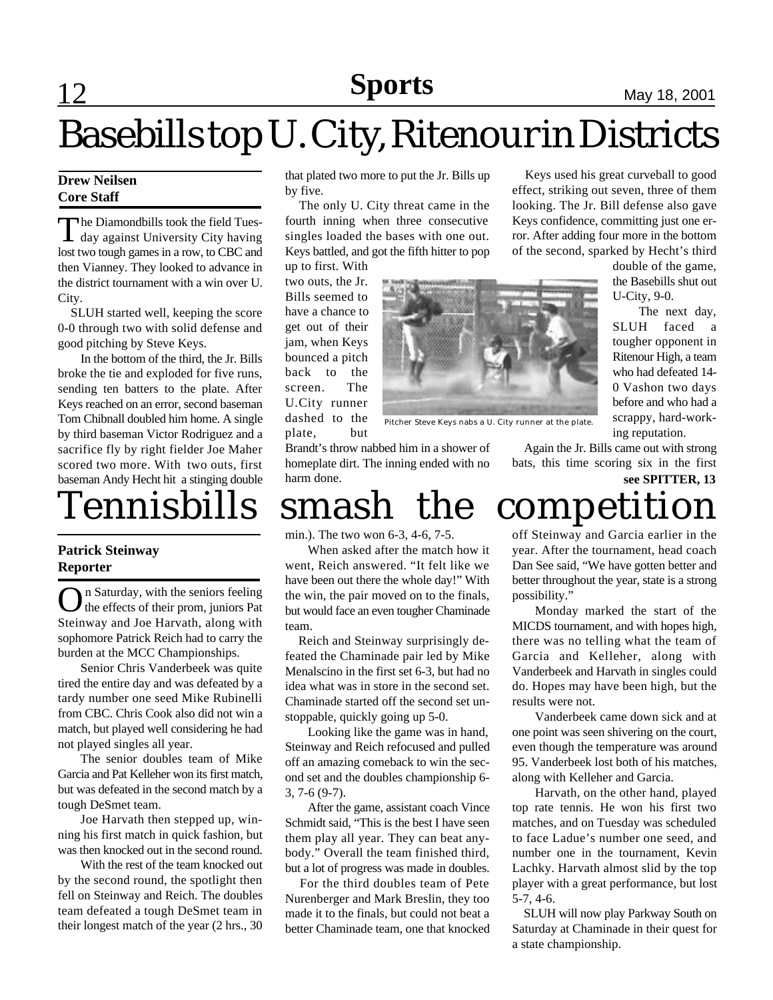# Basebills top U. City, Ritenour in Districts

#### **Drew Neilsen Core Staff**

The Diamondbills took the field Tues-<br>day against University City having  $\perp$  day against University City having lost two tough games in a row, to CBC and then Vianney. They looked to advance in the district tournament with a win over U. City.

 SLUH started well, keeping the score 0-0 through two with solid defense and good pitching by Steve Keys.

In the bottom of the third, the Jr. Bills broke the tie and exploded for five runs, sending ten batters to the plate. After Keys reached on an error, second baseman Tom Chibnall doubled him home. A single by third baseman Victor Rodriguez and a sacrifice fly by right fielder Joe Maher scored two more. With two outs, first baseman Andy Hecht hit a stinging double

#### **Patrick Steinway Reporter**

On Saturday, with the seniors feeling<br>the effects of their prom, juniors Pat the effects of their prom, juniors Pat Steinway and Joe Harvath, along with sophomore Patrick Reich had to carry the burden at the MCC Championships.

Senior Chris Vanderbeek was quite tired the entire day and was defeated by a tardy number one seed Mike Rubinelli from CBC. Chris Cook also did not win a match, but played well considering he had not played singles all year.

The senior doubles team of Mike Garcia and Pat Kelleher won its first match, but was defeated in the second match by a tough DeSmet team.

Joe Harvath then stepped up, winning his first match in quick fashion, but was then knocked out in the second round.

With the rest of the team knocked out by the second round, the spotlight then fell on Steinway and Reich. The doubles team defeated a tough DeSmet team in their longest match of the year (2 hrs., 30

that plated two more to put the Jr. Bills up by five.

 The only U. City threat came in the fourth inning when three consecutive singles loaded the bases with one out. Keys battled, and got the fifth hitter to pop up to first. With

two outs, the Jr. Bills seemed to have a chance to get out of their jam, when Keys bounced a pitch back to the screen. The U.City runner dashed to the plate, but



Pitcher Steve Keys nabs a U. City runner at the plate.

Brandt's throw nabbed him in a shower of homeplate dirt. The inning ended with no harm done.

# Tennisbills smash the competition

min.). The two won 6-3, 4-6, 7-5.

When asked after the match how it went, Reich answered. "It felt like we have been out there the whole day!" With the win, the pair moved on to the finals, but would face an even tougher Chaminade team.

 Reich and Steinway surprisingly defeated the Chaminade pair led by Mike Menalscino in the first set 6-3, but had no idea what was in store in the second set. Chaminade started off the second set unstoppable, quickly going up 5-0.

Looking like the game was in hand, Steinway and Reich refocused and pulled off an amazing comeback to win the second set and the doubles championship 6- 3, 7-6 (9-7).

After the game, assistant coach Vince Schmidt said, "This is the best I have seen them play all year. They can beat anybody." Overall the team finished third, but a lot of progress was made in doubles.

 For the third doubles team of Pete Nurenberger and Mark Breslin, they too made it to the finals, but could not beat a better Chaminade team, one that knocked off Steinway and Garcia earlier in the year. After the tournament, head coach Dan See said, "We have gotten better and better throughout the year, state is a strong possibility."

Monday marked the start of the MICDS tournament, and with hopes high, there was no telling what the team of Garcia and Kelleher, along with Vanderbeek and Harvath in singles could do. Hopes may have been high, but the results were not.

Vanderbeek came down sick and at one point was seen shivering on the court, even though the temperature was around 95. Vanderbeek lost both of his matches, along with Kelleher and Garcia.

Harvath, on the other hand, played top rate tennis. He won his first two matches, and on Tuesday was scheduled to face Ladue's number one seed, and number one in the tournament, Kevin Lachky. Harvath almost slid by the top player with a great performance, but lost 5-7, 4-6.

 SLUH will now play Parkway South on Saturday at Chaminade in their quest for a state championship.

double of the game, the Basebills shut out U-City, 9-0. The next day, SLUH faced a

 Keys used his great curveball to good effect, striking out seven, three of them looking. The Jr. Bill defense also gave Keys confidence, committing just one error. After adding four more in the bottom of the second, sparked by Hecht's third

> tougher opponent in Ritenour High, a team who had defeated 14- 0 Vashon two days before and who had a scrappy, hard-working reputation.

 Again the Jr. Bills came out with strong bats, this time scoring six in the first

**see SPITTER, 13**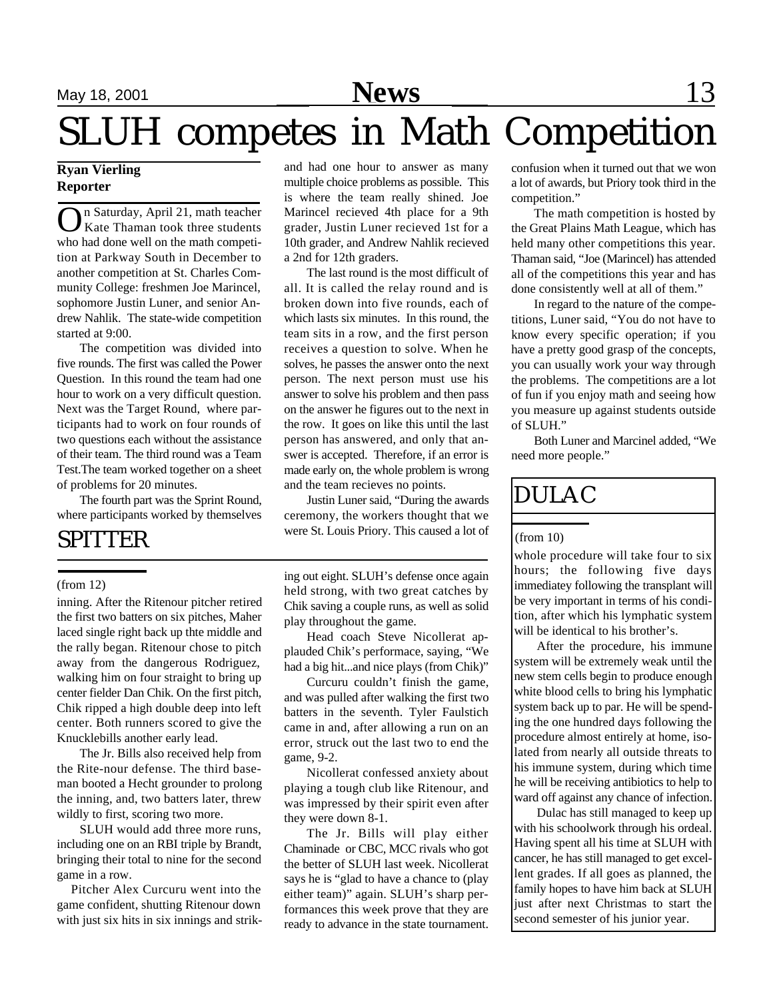# SLUH competes in Math Competition

#### **Ryan Vierling Reporter**

On Saturday, April 21, math teacher<br>Kate Thaman took three students Kate Thaman took three students who had done well on the math competition at Parkway South in December to another competition at St. Charles Community College: freshmen Joe Marincel, sophomore Justin Luner, and senior Andrew Nahlik. The state-wide competition started at 9:00.

The competition was divided into five rounds. The first was called the Power Question. In this round the team had one hour to work on a very difficult question. Next was the Target Round, where participants had to work on four rounds of two questions each without the assistance of their team. The third round was a Team Test.The team worked together on a sheet of problems for 20 minutes.

The fourth part was the Sprint Round, where participants worked by themselves

### SPITTER

#### (from 12)

inning. After the Ritenour pitcher retired the first two batters on six pitches, Maher laced single right back up thte middle and the rally began. Ritenour chose to pitch away from the dangerous Rodriguez, walking him on four straight to bring up center fielder Dan Chik. On the first pitch, Chik ripped a high double deep into left center. Both runners scored to give the Knucklebills another early lead.

The Jr. Bills also received help from the Rite-nour defense. The third baseman booted a Hecht grounder to prolong the inning, and, two batters later, threw wildly to first, scoring two more.

SLUH would add three more runs, including one on an RBI triple by Brandt, bringing their total to nine for the second game in a row.

 Pitcher Alex Curcuru went into the game confident, shutting Ritenour down with just six hits in six innings and strikand had one hour to answer as many multiple choice problems as possible. This is where the team really shined. Joe Marincel recieved 4th place for a 9th grader, Justin Luner recieved 1st for a 10th grader, and Andrew Nahlik recieved a 2nd for 12th graders.

The last round is the most difficult of all. It is called the relay round and is broken down into five rounds, each of which lasts six minutes. In this round, the team sits in a row, and the first person receives a question to solve. When he solves, he passes the answer onto the next person. The next person must use his answer to solve his problem and then pass on the answer he figures out to the next in the row. It goes on like this until the last person has answered, and only that answer is accepted. Therefore, if an error is made early on, the whole problem is wrong and the team recieves no points.

Justin Luner said, "During the awards ceremony, the workers thought that we were St. Louis Priory. This caused a lot of

ing out eight. SLUH's defense once again held strong, with two great catches by Chik saving a couple runs, as well as solid play throughout the game.

Head coach Steve Nicollerat applauded Chik's performace, saying, "We had a big hit...and nice plays (from Chik)"

Curcuru couldn't finish the game, and was pulled after walking the first two batters in the seventh. Tyler Faulstich came in and, after allowing a run on an error, struck out the last two to end the game, 9-2.

Nicollerat confessed anxiety about playing a tough club like Ritenour, and was impressed by their spirit even after they were down 8-1.

The Jr. Bills will play either Chaminade or CBC, MCC rivals who got the better of SLUH last week. Nicollerat says he is "glad to have a chance to (play either team)" again. SLUH's sharp performances this week prove that they are ready to advance in the state tournament.

confusion when it turned out that we won a lot of awards, but Priory took third in the competition."

The math competition is hosted by the Great Plains Math League, which has held many other competitions this year. Thaman said, "Joe (Marincel) has attended all of the competitions this year and has done consistently well at all of them."

In regard to the nature of the competitions, Luner said, "You do not have to know every specific operation; if you have a pretty good grasp of the concepts, you can usually work your way through the problems. The competitions are a lot of fun if you enjoy math and seeing how you measure up against students outside of SLUH."

Both Luner and Marcinel added, "We need more people."

### DULAC

(from 10)

whole procedure will take four to six hours; the following five days immediatey following the transplant will be very important in terms of his condition, after which his lymphatic system will be identical to his brother's.

After the procedure, his immune system will be extremely weak until the new stem cells begin to produce enough white blood cells to bring his lymphatic system back up to par. He will be spending the one hundred days following the procedure almost entirely at home, isolated from nearly all outside threats to his immune system, during which time he will be receiving antibiotics to help to ward off against any chance of infection.

Dulac has still managed to keep up with his schoolwork through his ordeal. Having spent all his time at SLUH with cancer, he has still managed to get excellent grades. If all goes as planned, the family hopes to have him back at SLUH just after next Christmas to start the second semester of his junior year.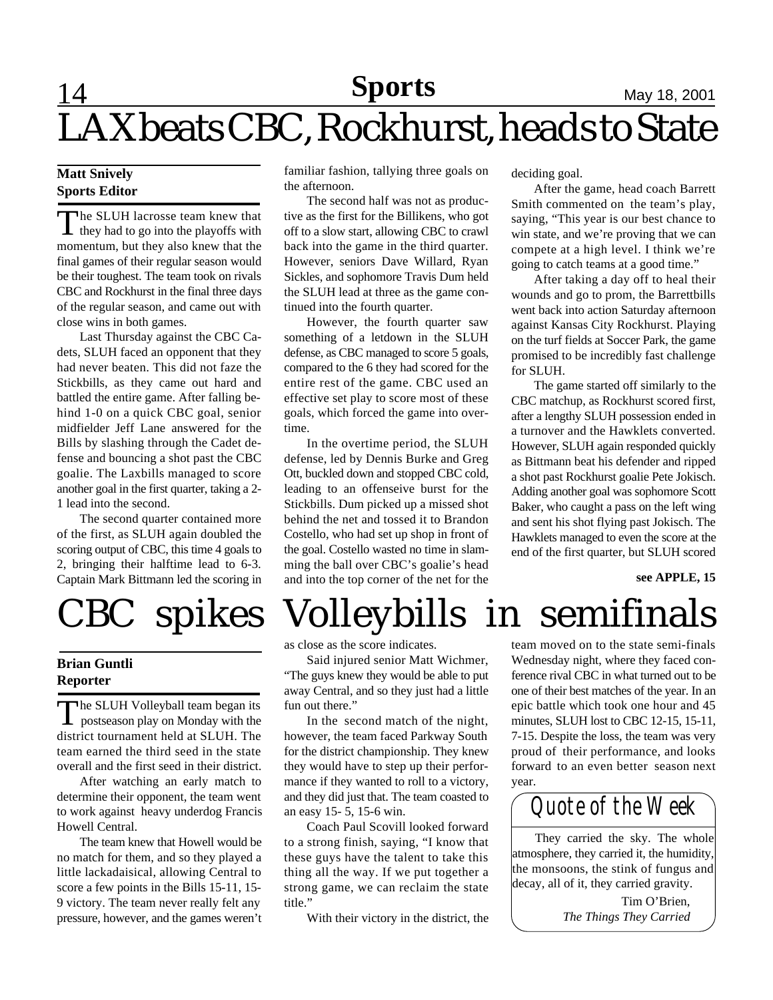### **14 Sports** May 18, 2001 LAX beats CBC, Rockhurst, heads to State **Sports**

#### **Matt Snively Sports Editor**

The SLUH lacrosse team knew that<br>they had to go into the playoffs with he SLUH lacrosse team knew that momentum, but they also knew that the final games of their regular season would be their toughest. The team took on rivals CBC and Rockhurst in the final three days of the regular season, and came out with close wins in both games.

Last Thursday against the CBC Cadets, SLUH faced an opponent that they had never beaten. This did not faze the Stickbills, as they came out hard and battled the entire game. After falling behind 1-0 on a quick CBC goal, senior midfielder Jeff Lane answered for the Bills by slashing through the Cadet defense and bouncing a shot past the CBC goalie. The Laxbills managed to score another goal in the first quarter, taking a 2- 1 lead into the second.

The second quarter contained more of the first, as SLUH again doubled the scoring output of CBC, this time 4 goals to 2, bringing their halftime lead to 6-3. Captain Mark Bittmann led the scoring in

#### **Brian Guntli Reporter**

T he SLUH Volleyball team began its postseason play on Monday with the district tournament held at SLUH. The team earned the third seed in the state overall and the first seed in their district.

After watching an early match to determine their opponent, the team went to work against heavy underdog Francis Howell Central.

The team knew that Howell would be no match for them, and so they played a little lackadaisical, allowing Central to score a few points in the Bills 15-11, 15- 9 victory. The team never really felt any pressure, however, and the games weren't familiar fashion, tallying three goals on the afternoon.

The second half was not as productive as the first for the Billikens, who got off to a slow start, allowing CBC to crawl back into the game in the third quarter. However, seniors Dave Willard, Ryan Sickles, and sophomore Travis Dum held the SLUH lead at three as the game continued into the fourth quarter.

However, the fourth quarter saw something of a letdown in the SLUH defense, as CBC managed to score 5 goals, compared to the 6 they had scored for the entire rest of the game. CBC used an effective set play to score most of these goals, which forced the game into overtime.

In the overtime period, the SLUH defense, led by Dennis Burke and Greg Ott, buckled down and stopped CBC cold, leading to an offenseive burst for the Stickbills. Dum picked up a missed shot behind the net and tossed it to Brandon Costello, who had set up shop in front of the goal. Costello wasted no time in slamming the ball over CBC's goalie's head and into the top corner of the net for the

deciding goal.

After the game, head coach Barrett Smith commented on the team's play, saying, "This year is our best chance to win state, and we're proving that we can compete at a high level. I think we're going to catch teams at a good time."

After taking a day off to heal their wounds and go to prom, the Barrettbills went back into action Saturday afternoon against Kansas City Rockhurst. Playing on the turf fields at Soccer Park, the game promised to be incredibly fast challenge for SLUH.

The game started off similarly to the CBC matchup, as Rockhurst scored first, after a lengthy SLUH possession ended in a turnover and the Hawklets converted. However, SLUH again responded quickly as Bittmann beat his defender and ripped a shot past Rockhurst goalie Pete Jokisch. Adding another goal was sophomore Scott Baker, who caught a pass on the left wing and sent his shot flying past Jokisch. The Hawklets managed to even the score at the end of the first quarter, but SLUH scored

**see APPLE, 15**

# CBC spikes Volleybills in semifinals

as close as the score indicates.

Said injured senior Matt Wichmer, "The guys knew they would be able to put away Central, and so they just had a little fun out there."

In the second match of the night, however, the team faced Parkway South for the district championship. They knew they would have to step up their performance if they wanted to roll to a victory, and they did just that. The team coasted to an easy 15- 5, 15-6 win.

Coach Paul Scovill looked forward to a strong finish, saying, "I know that these guys have the talent to take this thing all the way. If we put together a strong game, we can reclaim the state title."

With their victory in the district, the

team moved on to the state semi-finals Wednesday night, where they faced conference rival CBC in what turned out to be one of their best matches of the year. In an epic battle which took one hour and 45 minutes, SLUH lost to CBC 12-15, 15-11, 7-15. Despite the loss, the team was very proud of their performance, and looks forward to an even better season next year.

*Quote of the Week*

They carried the sky. The whole atmosphere, they carried it, the humidity, the monsoons, the stink of fungus and decay, all of it, they carried gravity.

> Tim O'Brien, *The Things They Carried*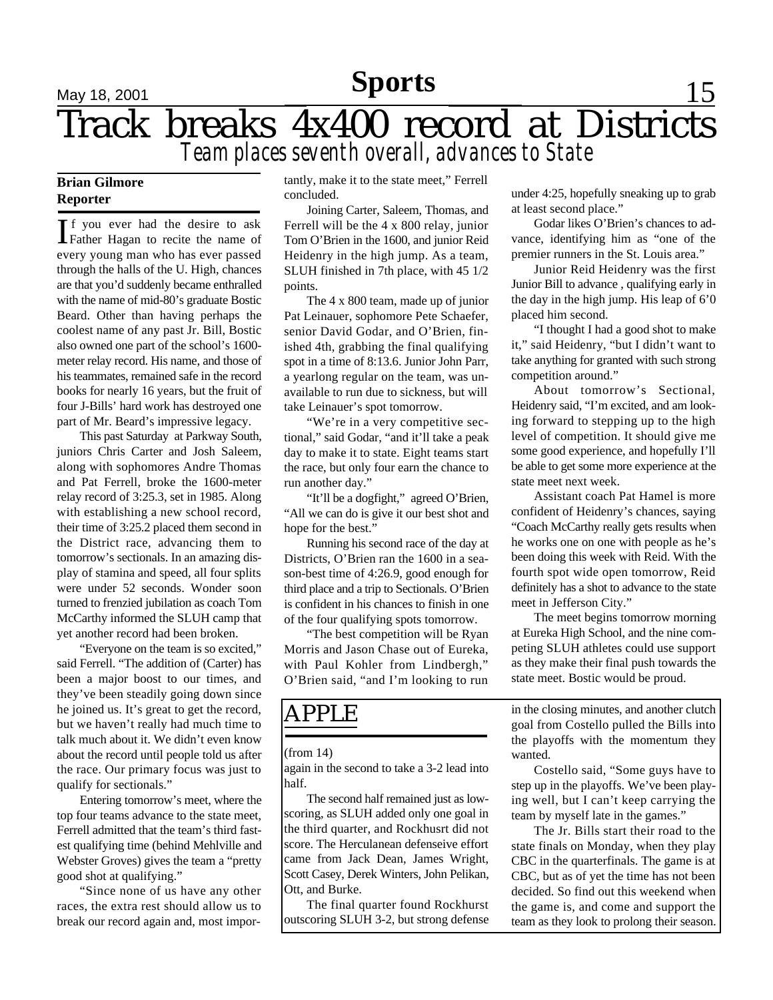### **Sports**

# **May 18, 2001 Sports** 15 Track breaks 4x400 record at Districts *Team places seventh overall, advances to State*

### **Brian Gilmore Reporter**

If you ever had the desire to ask<br>Father Hagan to recite the name of f you ever had the desire to ask every young man who has ever passed through the halls of the U. High, chances are that you'd suddenly became enthralled with the name of mid-80's graduate Bostic Beard. Other than having perhaps the coolest name of any past Jr. Bill, Bostic also owned one part of the school's 1600 meter relay record. His name, and those of his teammates, remained safe in the record books for nearly 16 years, but the fruit of four J-Bills' hard work has destroyed one part of Mr. Beard's impressive legacy.

This past Saturday at Parkway South, juniors Chris Carter and Josh Saleem, along with sophomores Andre Thomas and Pat Ferrell, broke the 1600-meter relay record of 3:25.3, set in 1985. Along with establishing a new school record, their time of 3:25.2 placed them second in the District race, advancing them to tomorrow's sectionals. In an amazing display of stamina and speed, all four splits were under 52 seconds. Wonder soon turned to frenzied jubilation as coach Tom McCarthy informed the SLUH camp that yet another record had been broken.

"Everyone on the team is so excited," said Ferrell. "The addition of (Carter) has been a major boost to our times, and they've been steadily going down since he joined us. It's great to get the record, but we haven't really had much time to talk much about it. We didn't even know about the record until people told us after the race. Our primary focus was just to qualify for sectionals."

Entering tomorrow's meet, where the top four teams advance to the state meet, Ferrell admitted that the team's third fastest qualifying time (behind Mehlville and Webster Groves) gives the team a "pretty good shot at qualifying."

"Since none of us have any other races, the extra rest should allow us to break our record again and, most importantly, make it to the state meet," Ferrell concluded.

Joining Carter, Saleem, Thomas, and Ferrell will be the 4 x 800 relay, junior Tom O'Brien in the 1600, and junior Reid Heidenry in the high jump. As a team, SLUH finished in 7th place, with 45 1/2 points.

The 4 x 800 team, made up of junior Pat Leinauer, sophomore Pete Schaefer, senior David Godar, and O'Brien, finished 4th, grabbing the final qualifying spot in a time of 8:13.6. Junior John Parr, a yearlong regular on the team, was unavailable to run due to sickness, but will take Leinauer's spot tomorrow.

"We're in a very competitive sectional," said Godar, "and it'll take a peak day to make it to state. Eight teams start the race, but only four earn the chance to run another day."

"It'll be a dogfight," agreed O'Brien, "All we can do is give it our best shot and hope for the best."

Running his second race of the day at Districts, O'Brien ran the 1600 in a season-best time of 4:26.9, good enough for third place and a trip to Sectionals. O'Brien is confident in his chances to finish in one of the four qualifying spots tomorrow.

"The best competition will be Ryan Morris and Jason Chase out of Eureka, with Paul Kohler from Lindbergh," O'Brien said, "and I'm looking to run

### APPLE

(from 14)

again in the second to take a 3-2 lead into half.

The second half remained just as lowscoring, as SLUH added only one goal in the third quarter, and Rockhusrt did not score. The Herculanean defenseive effort came from Jack Dean, James Wright, Scott Casey, Derek Winters, John Pelikan, Ott, and Burke.

The final quarter found Rockhurst outscoring SLUH 3-2, but strong defense under 4:25, hopefully sneaking up to grab at least second place."

Godar likes O'Brien's chances to advance, identifying him as "one of the premier runners in the St. Louis area."

Junior Reid Heidenry was the first Junior Bill to advance , qualifying early in the day in the high jump. His leap of 6'0 placed him second.

"I thought I had a good shot to make it," said Heidenry, "but I didn't want to take anything for granted with such strong competition around."

About tomorrow's Sectional, Heidenry said, "I'm excited, and am looking forward to stepping up to the high level of competition. It should give me some good experience, and hopefully I'll be able to get some more experience at the state meet next week.

Assistant coach Pat Hamel is more confident of Heidenry's chances, saying "Coach McCarthy really gets results when he works one on one with people as he's been doing this week with Reid. With the fourth spot wide open tomorrow, Reid definitely has a shot to advance to the state meet in Jefferson City."

The meet begins tomorrow morning at Eureka High School, and the nine competing SLUH athletes could use support as they make their final push towards the state meet. Bostic would be proud.

in the closing minutes, and another clutch goal from Costello pulled the Bills into the playoffs with the momentum they wanted.

Costello said, "Some guys have to step up in the playoffs. We've been playing well, but I can't keep carrying the team by myself late in the games."

The Jr. Bills start their road to the state finals on Monday, when they play CBC in the quarterfinals. The game is at CBC, but as of yet the time has not been decided. So find out this weekend when the game is, and come and support the team as they look to prolong their season.